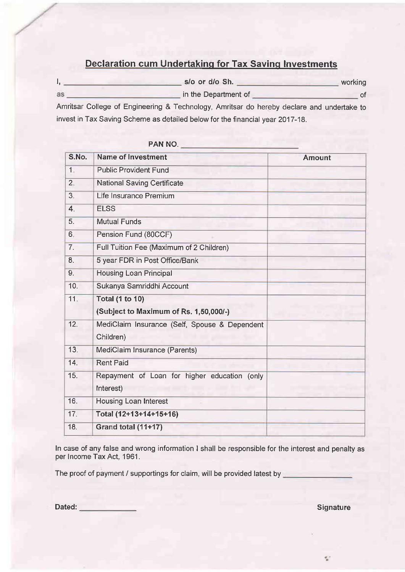### Declaration cum Undertaking for Tax Saving Investments

|    | s/o or d/o Sh.       | working |
|----|----------------------|---------|
| as | in the Department of |         |

Amritsar College of Engineering & Technology, Amritsar do hereby declare and undertake to invest in Tax Saving Scheme as detailed below for the financial year 2017-18.

| S.No.            | <b>Name of Investment</b>                     | <b>Amount</b> |  |  |
|------------------|-----------------------------------------------|---------------|--|--|
| 1                | <b>Public Provident Fund</b>                  |               |  |  |
| 2,               | <b>National Saving Certificate</b>            |               |  |  |
| 3 <sub>i</sub>   | Life Insurance Premium                        |               |  |  |
| $\overline{4}$ . | <b>ELSS</b>                                   |               |  |  |
| 5.               | <b>Mutual Funds</b>                           |               |  |  |
| 6 <sub>1</sub>   | Pension Fund (80CCF)                          |               |  |  |
| 7.               | Full Tuition Fee (Maximum of 2 Children)      |               |  |  |
| 8.               | 5 year FDR in Post Office/Bank                |               |  |  |
| 9.               | <b>Housing Loan Principal</b>                 |               |  |  |
| 10.              | Sukanya Samriddhi Account                     |               |  |  |
| 11 <sub>1</sub>  | <b>Total (1 to 10)</b>                        |               |  |  |
|                  | (Subject to Maximum of Rs. 1,50,000/-)        |               |  |  |
| 12.              | MediClaim Insurance (Self, Spouse & Dependent |               |  |  |
|                  | Children)                                     |               |  |  |
| 13.              | MediClaim Insurance (Parents)                 |               |  |  |
| 14.              | <b>Rent Paid</b>                              |               |  |  |
| 15.              | Repayment of Loan for higher education (only  |               |  |  |
|                  | Interest)                                     |               |  |  |
| 16.              | <b>Housing Loan Interest</b>                  |               |  |  |
| 17.              | Total (12+13+14+15+16)                        |               |  |  |
| 18.              | Grand total (11+17)                           |               |  |  |

# PAN NO.

In case of any false and wrong information I shall be responsible for the interest and penalty as per Income Tax Act, 1961.

The proof of payment / supportings for claim, will be provided latest by

Dated: Signature Contract of the Contract of the Contract of the Contract of the Contract of the Contract of the Contract of the Contract of the Contract of the Contract of the Contract of the Contract of the Contract of t

 $\mathcal{C}_{\mathbf{a}}$  :